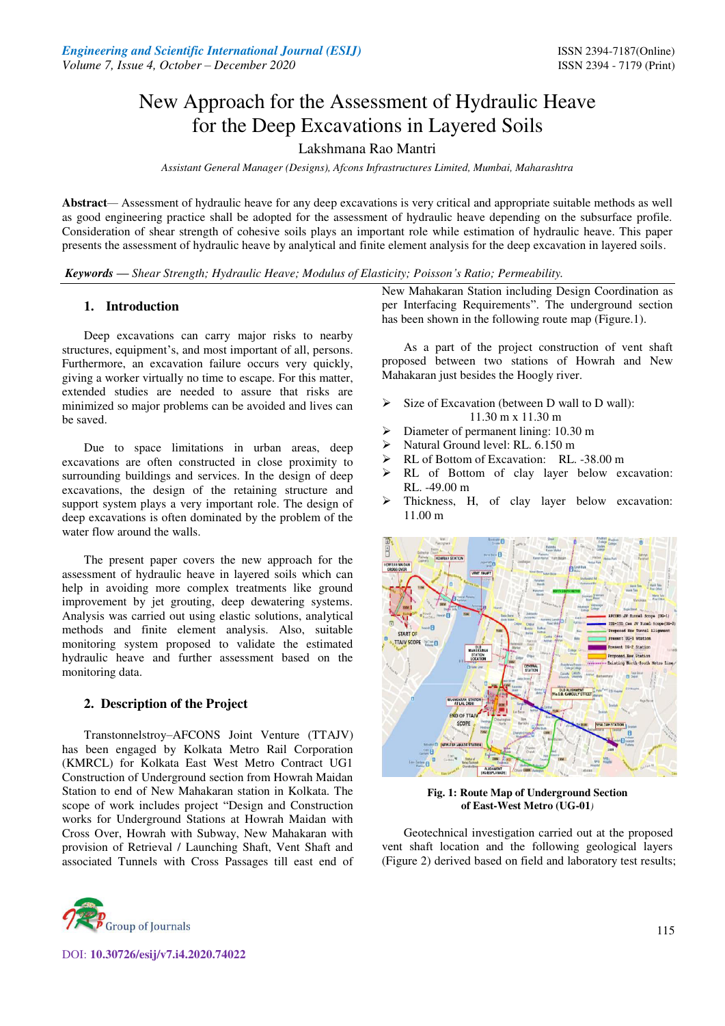# New Approach for the Assessment of Hydraulic Heave for the Deep Excavations in Layered Soils

# Lakshmana Rao Mantri

*Assistant General Manager (Designs), Afcons Infrastructures Limited, Mumbai, Maharashtra*

**Abstract***—* Assessment of hydraulic heave for any deep excavations is very critical and appropriate suitable methods as well as good engineering practice shall be adopted for the assessment of hydraulic heave depending on the subsurface profile. Consideration of shear strength of cohesive soils plays an important role while estimation of hydraulic heave. This paper presents the assessment of hydraulic heave by analytical and finite element analysis for the deep excavation in layered soils.

*Keywords — Shear Strength; Hydraulic Heave; Modulus of Elasticity; Poisson's Ratio; Permeability.* 

## **1. Introduction**

Deep excavations can carry major risks to nearby structures, equipment's, and most important of all, persons. Furthermore, an excavation failure occurs very quickly, giving a worker virtually no time to escape. For this matter, extended studies are needed to assure that risks are minimized so major problems can be avoided and lives can be saved.

Due to space limitations in urban areas, deep excavations are often constructed in close proximity to surrounding buildings and services. In the design of deep excavations, the design of the retaining structure and support system plays a very important role. The design of deep excavations is often dominated by the problem of the water flow around the walls.

The present paper covers the new approach for the assessment of hydraulic heave in layered soils which can help in avoiding more complex treatments like ground improvement by jet grouting, deep dewatering systems. Analysis was carried out using elastic solutions, analytical methods and finite element analysis. Also, suitable monitoring system proposed to validate the estimated hydraulic heave and further assessment based on the monitoring data.

## **2. Description of the Project**

Transtonnelstroy–AFCONS Joint Venture (TTAJV) has been engaged by Kolkata Metro Rail Corporation (KMRCL) for Kolkata East West Metro Contract UG1 Construction of Underground section from Howrah Maidan Station to end of New Mahakaran station in Kolkata. The scope of work includes project "Design and Construction works for Underground Stations at Howrah Maidan with Cross Over, Howrah with Subway, New Mahakaran with provision of Retrieval / Launching Shaft, Vent Shaft and associated Tunnels with Cross Passages till east end of



As a part of the project construction of vent shaft proposed between two stations of Howrah and New Mahakaran just besides the Hoogly river.

- Size of Excavation (between D wall to D wall): 11.30 m x 11.30 m
- Diameter of permanent lining: 10.30 m
- > Natural Ground level: RL. 6.150 m
- $\triangleright$  RL of Bottom of Excavation: RL. -38.00 m<br> $\triangleright$  RL of Bottom of clav laver below ex
- RL of Bottom of clay layer below excavation: RL. -49.00 m
- Thickness, H, of clay layer below excavation: 11.00 m



**Fig. 1: Route Map of Underground Section of East-West Metro (UG-01***)* 

Geotechnical investigation carried out at the proposed vent shaft location and the following geological layers (Figure 2) derived based on field and laboratory test results;

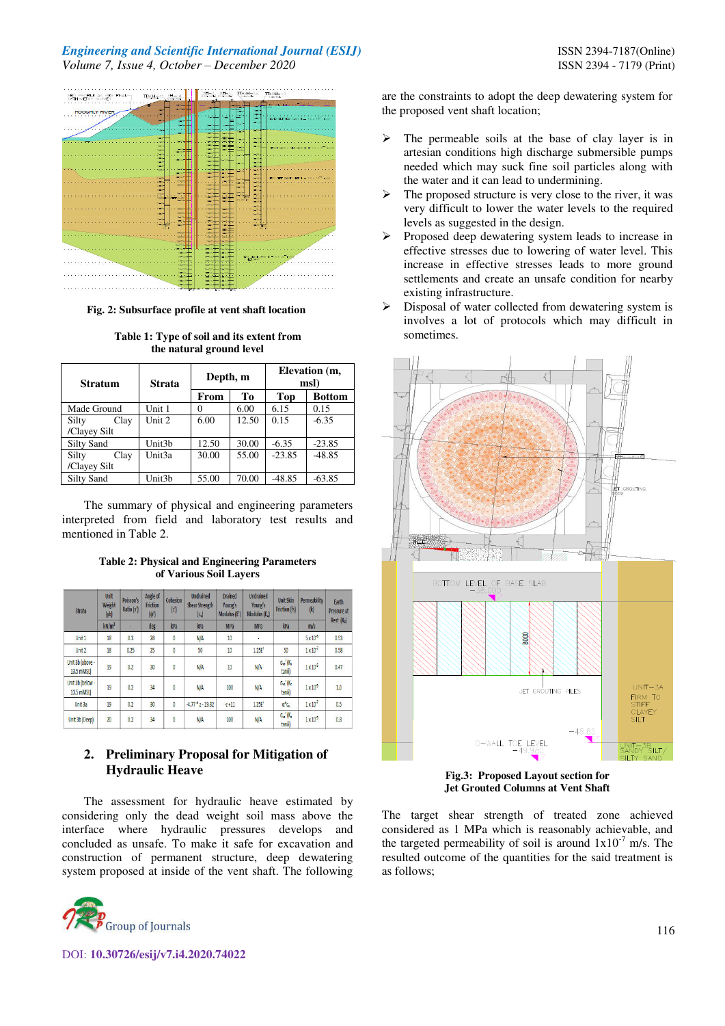# *Engineering and Scientific International Journal (ESIJ)* **ISSN 2394-7187(Online) ISSN 2394-7187(Online)** *Volume 7, Issue 4, October – December 2020* ISSN 2394 - 7179 (Print)



 **Fig. 2: Subsurface profile at vent shaft location**

| <b>Stratum</b>    | <b>Strata</b>      | Depth, m |       | Elevation (m.<br>msl) |               |  |
|-------------------|--------------------|----------|-------|-----------------------|---------------|--|
|                   |                    | From     | Tо    | Top                   | <b>Bottom</b> |  |
| Made Ground       | Unit 1             | 0        | 6.00  | 6.15                  | 0.15          |  |
| Silty<br>Clay     | Unit 2             | 6.00     | 12.50 | 0.15                  | $-6.35$       |  |
| /Clayey Silt      |                    |          |       |                       |               |  |
| <b>Silty Sand</b> | Unit3 <sub>b</sub> | 12.50    | 30.00 | $-6.35$               | $-23.85$      |  |
| Silty<br>Clay     | Unit3a             | 30.00    | 55.00 | $-23.85$              | $-48.85$      |  |
| /Clayey Silt      |                    |          |       |                       |               |  |
| Silty Sand        | Unit3b             | 55.00    | 70.00 | $-48.85$              | $-63.85$      |  |

**Table 1: Type of soil and its extent from the natural ground level** 

The summary of physical and engineering parameters interpreted from field and laboratory test results and mentioned in Table 2.

**Table 2: Physical and Engineering Parameters of Various Soil Layers** 

| Unit<br>Weight<br>Strata<br>(y <sub>b</sub> )<br>kN/m <sup>3</sup> |    | Poisson's<br>Ratio (v') | Angle of<br><b>Friction</b><br>$(\phi')$ | Cohesion<br> c | <b>Undrained</b><br><b>Shear Strength</b><br>$ C_{\alpha} $ | <b>Drained</b><br>Young's<br>Modulus (E') | <b>Undrained</b><br>Young's<br>Modulus (E.) | <b>Unit Skin</b><br><b>Friction (fs)</b>                | <b>Permeability</b><br>$\left  k \right $ | Earth<br>Pressure at |
|--------------------------------------------------------------------|----|-------------------------|------------------------------------------|----------------|-------------------------------------------------------------|-------------------------------------------|---------------------------------------------|---------------------------------------------------------|-------------------------------------------|----------------------|
|                                                                    |    | deg                     | kPa                                      | kPa            | MPa                                                         | <b>MPa</b>                                | kPa                                         | m/s                                                     | Rest (Ko)                                 |                      |
| Unit 1                                                             | 18 | 0.3                     | 28                                       | $\overline{0}$ | N/A                                                         | 10                                        | ÷                                           |                                                         | $5 \times 10^{-5}$                        | 0.53                 |
| Unit <sub>2</sub>                                                  | 18 | 0.25                    | 25                                       | 0              | 50                                                          | 10                                        | 1.25E                                       | 50                                                      | $1 \times 10^7$                           | 0.58                 |
| Unit 3b (above -<br>13.5 mMSL)                                     | 19 | 0.2                     | 30                                       | 0              | N/A                                                         | 10                                        | N/A                                         | $\sigma_{\infty}$ $K_{s}$<br>tano)                      | 1x10 <sup>5</sup>                         | 0.47                 |
| Unit 3b (below -<br>13.5 mMSL)                                     | 19 | 0.2                     | 34                                       | 0              | N/A                                                         | 100                                       | N/A                                         | $\sigma_{\infty}$ <sup>1</sup> (K <sub>2</sub><br>tanδ) | 1x10 <sup>5</sup>                         | 1.0                  |
| Unit 3a                                                            | 19 | 0.2                     | 30                                       | $\mathbf{0}$   | $-4.77$ * $z - 19.32$                                       | $-7 + 11$                                 | 1.25E                                       | $\mathfrak{a}^*\mathfrak{c}_\mathfrak{a}$               | 1x10'                                     | 0.5                  |
| Unit 3b (Deep)                                                     | 20 | ooo<br>0.2              | $\overline{34}$                          | $\overline{0}$ | N/A                                                         | 100                                       | N/A                                         | $\sigma_{\infty}$ <sup>1</sup> (K <sub>2</sub><br>tanol | $1 \times 10^5$                           | 0.8                  |

# **2. Preliminary Proposal for Mitigation of Hydraulic Heave**

The assessment for hydraulic heave estimated by considering only the dead weight soil mass above the interface where hydraulic pressures develops and concluded as unsafe. To make it safe for excavation and construction of permanent structure, deep dewatering system proposed at inside of the vent shaft. The following



DOI: **10.30726/esij/v7.i4.2020.74022**

are the constraints to adopt the deep dewatering system for the proposed vent shaft location;

- $\triangleright$  The permeable soils at the base of clay layer is in artesian conditions high discharge submersible pumps needed which may suck fine soil particles along with the water and it can lead to undermining.
- $\triangleright$  The proposed structure is very close to the river, it was very difficult to lower the water levels to the required levels as suggested in the design.
- $\triangleright$  Proposed deep dewatering system leads to increase in effective stresses due to lowering of water level. This increase in effective stresses leads to more ground settlements and create an unsafe condition for nearby existing infrastructure.
- $\triangleright$  Disposal of water collected from dewatering system is involves a lot of protocols which may difficult in sometimes.



**Fig.3: Proposed Layout section for Jet Grouted Columns at Vent Shaft** 

The target shear strength of treated zone achieved considered as 1 MPa which is reasonably achievable, and the targeted permeability of soil is around  $1x10^{-7}$  m/s. The resulted outcome of the quantities for the said treatment is as follows;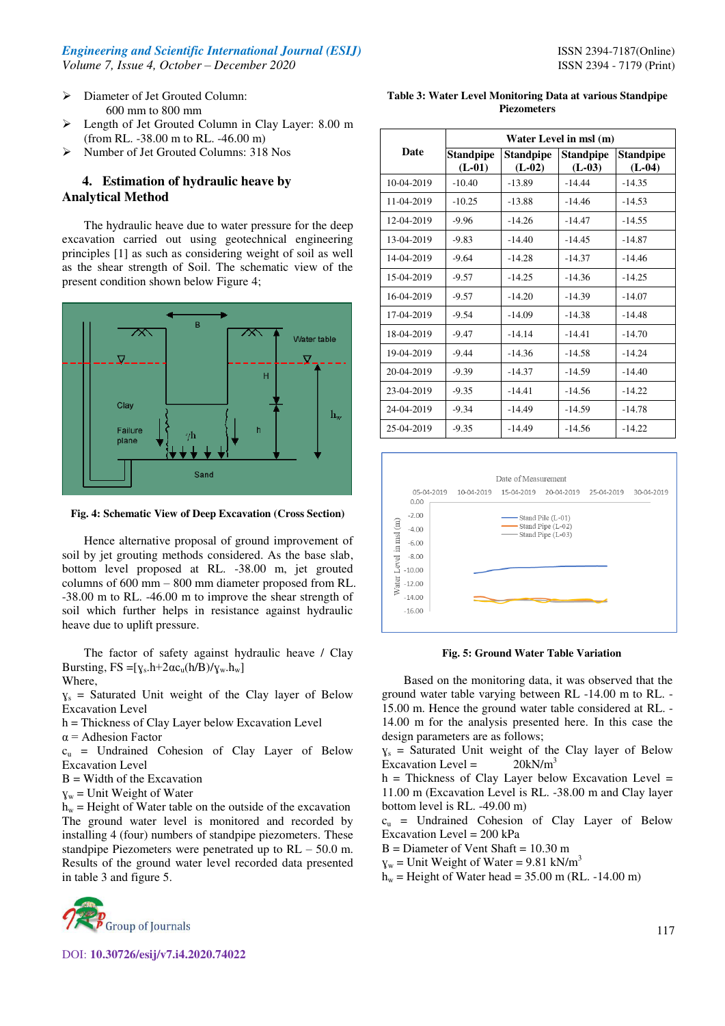- $\triangleright$  Diameter of Jet Grouted Column: 600 mm to 800 mm
- Length of Jet Grouted Column in Clay Layer: 8.00 m (from RL. -38.00 m to RL. -46.00 m)
- Number of Jet Grouted Columns: 318 Nos

# **4. Estimation of hydraulic heave by Analytical Method**

The hydraulic heave due to water pressure for the deep excavation carried out using geotechnical engineering principles [1] as such as considering weight of soil as well as the shear strength of Soil. The schematic view of the present condition shown below Figure 4;



**Fig. 4: Schematic View of Deep Excavation (Cross Section)** 

Hence alternative proposal of ground improvement of soil by jet grouting methods considered. As the base slab, bottom level proposed at RL. -38.00 m, jet grouted columns of 600 mm – 800 mm diameter proposed from RL. -38.00 m to RL. -46.00 m to improve the shear strength of soil which further helps in resistance against hydraulic heave due to uplift pressure.

The factor of safety against hydraulic heave / Clay Bursting,  $FS = [y_s.h+2\alpha c_u(h/B)/y_w.h_w]$ Where,

 $y_s$  = Saturated Unit weight of the Clay layer of Below Excavation Level

h = Thickness of Clay Layer below Excavation Level

 $\alpha$  = Adhesion Factor

 $c<sub>u</sub>$  = Undrained Cohesion of Clay Layer of Below Excavation Level

 $B =$  Width of the Excavation

 $y_w$  = Unit Weight of Water

 $h_w$  = Height of Water table on the outside of the excavation The ground water level is monitored and recorded by installing 4 (four) numbers of standpipe piezometers. These standpipe Piezometers were penetrated up to RL – 50.0 m. Results of the ground water level recorded data presented in table 3 and figure 5.



DOI: **10.30726/esij/v7.i4.2020.74022**

| Table 3: Water Level Monitoring Data at various Standpipe |  |
|-----------------------------------------------------------|--|
| <b>Piezometers</b>                                        |  |

|            | Water Level in msl (m)       |                       |                              |                              |  |  |
|------------|------------------------------|-----------------------|------------------------------|------------------------------|--|--|
| Date       | <b>Standpipe</b><br>$(L-01)$ | Standpipe<br>$(L-02)$ | <b>Standpipe</b><br>$(L-03)$ | <b>Standpipe</b><br>$(L-04)$ |  |  |
| 10-04-2019 | $-10.40$                     | $-13.89$              | $-14.44$                     | $-14.35$                     |  |  |
| 11-04-2019 | $-10.25$                     | $-13.88$              | $-14.46$                     | $-14.53$                     |  |  |
| 12-04-2019 | $-9.96$                      | $-14.26$              | $-14.47$                     | $-14.55$                     |  |  |
| 13-04-2019 | $-9.83$                      | $-14.40$              | $-14.45$                     | $-14.87$                     |  |  |
| 14-04-2019 | $-9.64$                      | $-14.28$              | $-14.37$                     | $-14.46$                     |  |  |
| 15-04-2019 | $-9.57$                      | $-14.25$              | $-14.36$                     | $-14.25$                     |  |  |
| 16-04-2019 | $-9.57$                      | $-14.20$              | $-14.39$                     | $-14.07$                     |  |  |
| 17-04-2019 | $-9.54$                      | $-14.09$              | $-14.38$                     | $-14.48$                     |  |  |
| 18-04-2019 | $-9.47$                      | $-14.14$              | $-14.41$                     | $-14.70$                     |  |  |
| 19-04-2019 | $-9.44$                      | $-14.36$              | $-14.58$                     | $-14.24$                     |  |  |
| 20-04-2019 | $-9.39$                      | $-14.37$              | $-14.59$                     | $-14.40$                     |  |  |
| 23-04-2019 | $-9.35$                      | $-14.41$              | $-14.56$                     | $-14.22$                     |  |  |
| 24-04-2019 | $-9.34$                      | $-14.49$              | $-14.59$                     | $-14.78$                     |  |  |
| 25-04-2019 | $-9.35$                      | $-14.49$              | $-14.56$                     | $-14.22$                     |  |  |



 **Fig. 5: Ground Water Table Variation**

Based on the monitoring data, it was observed that the ground water table varying between RL -14.00 m to RL. - 15.00 m. Hence the ground water table considered at RL. - 14.00 m for the analysis presented here. In this case the design parameters are as follows;

 $y_s$  = Saturated Unit weight of the Clay layer of Below Excavation Level =  $20kN/m<sup>3</sup>$ 

 $h$  = Thickness of Clay Layer below Excavation Level = 11.00 m (Excavation Level is RL. -38.00 m and Clay layer bottom level is RL. -49.00 m)

 $c<sub>u</sub>$  = Undrained Cohesion of Clay Layer of Below Excavation Level = 200 kPa

 $B =$  Diameter of Vent Shaft = 10.30 m

 $y_w$  = Unit Weight of Water = 9.81 kN/m<sup>3</sup>

 $h_w$  = Height of Water head = 35.00 m (RL. -14.00 m)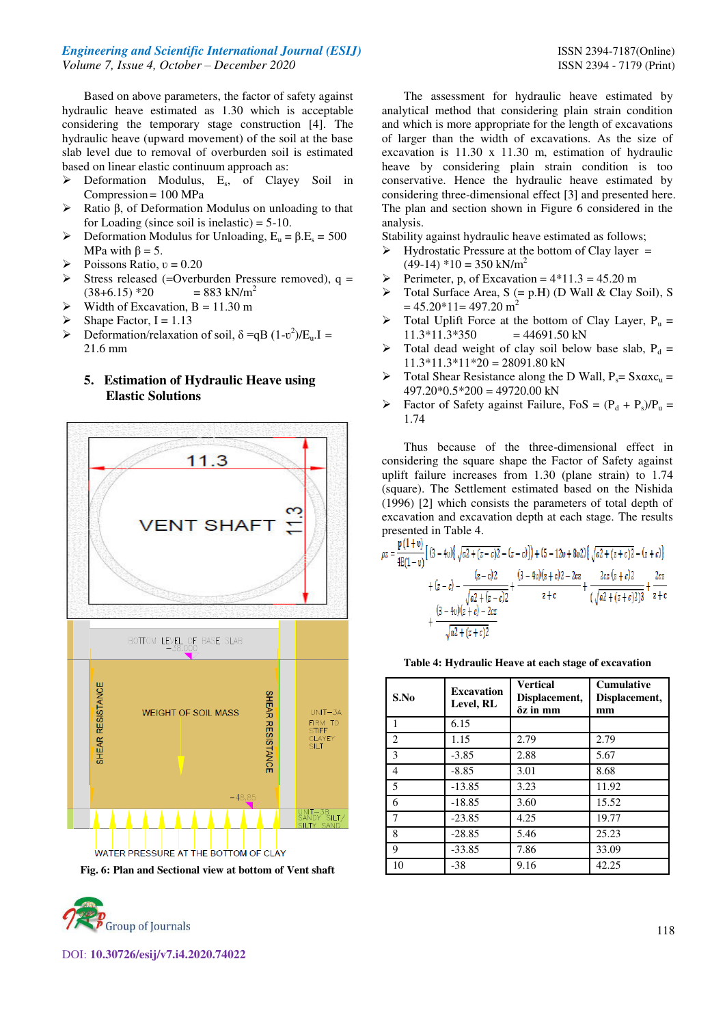#### *Engineering and Scientific International Journal (ESIJ)* **ISSN 2394-7187(Online) ISSN 2394-7187(Online)** *Volume 7, Issue 4, October – December 2020* ISSN 2394 - 7179 (Print)

Based on above parameters, the factor of safety against hydraulic heave estimated as 1.30 which is acceptable considering the temporary stage construction [4]. The hydraulic heave (upward movement) of the soil at the base slab level due to removal of overburden soil is estimated based on linear elastic continuum approach as:

- > Deformation Modulus, E<sub>s</sub>, of Clayey Soil in Compression = 100 MPa
- $\triangleright$  Ratio β, of Deformation Modulus on unloading to that for Loading (since soil is inelastic)  $= 5-10$ .
- $\triangleright$  Deformation Modulus for Unloading,  $E_u = \beta.E_s = 500$ MPa with  $β = 5$ .
- Poissons Ratio,  $v = 0.20$
- $\triangleright$  Stress released (=Overburden Pressure removed), q =  $(38+6.15)$  \*20 = 883 kN/m<sup>2</sup>
- Width of Excavation,  $B = 11.30$  m
- Shape Factor,  $I = 1.13$
- $\triangleright$  Deformation/relaxation of soil,  $\delta = qB (1-v^2)/E_u$ . I = 21.6 mm

# **5. Estimation of Hydraulic Heave using Elastic Solutions**



**Fig. 6: Plan and Sectional view at bottom of Vent shaft** 



The assessment for hydraulic heave estimated by analytical method that considering plain strain condition and which is more appropriate for the length of excavations of larger than the width of excavations. As the size of excavation is 11.30 x 11.30 m, estimation of hydraulic heave by considering plain strain condition is too conservative. Hence the hydraulic heave estimated by considering three-dimensional effect [3] and presented here. The plan and section shown in Figure 6 considered in the analysis.

Stability against hydraulic heave estimated as follows;

- $\triangleright$  Hydrostatic Pressure at the bottom of Clay layer =  $(49-14)$  \*10 = 350 kN/m<sup>2</sup>
- Perimeter, p, of Excavation =  $4*11.3 = 45.20$  m
- $\triangleright$  Total Surface Area, S (= p.H) (D Wall & Clay Soil), S  $= 45.20*11= 497.20 \text{ m}^2$
- $\triangleright$  Total Uplift Force at the bottom of Clay Layer, P<sub>u</sub> =  $11.3*11.3*350 = 44691.50$  kN
- $\triangleright$  Total dead weight of clay soil below base slab, P<sub>d</sub> =  $11.3*11.3*11*20 = 28091.80$  kN
- $\triangleright$  Total Shear Resistance along the D Wall,  $P_s = Sx\alpha xc_u =$  $497.20*0.5*200 = 49720.00$  kN
- $\triangleright$  Factor of Safety against Failure, FoS =  $(P_d + P_s)/P_u$  = 1.74

Thus because of the three-dimensional effect in considering the square shape the Factor of Safety against uplift failure increases from 1.30 (plane strain) to 1.74 (square). The Settlement estimated based on the Nishida (1996) [2] which consists the parameters of total depth of excavation and excavation depth at each stage. The results presented in Table 4.

$$
\rho z = \frac{p(1+v)}{4E(1-v)} \left[ (3-4v) \left\{ \sqrt{a^2 + (z-c)^2} - (z-c) \right\} \right] + (5-12v+8v) \left\{ \sqrt{a^2 + (z+c)^2} - (z+c) \right\}
$$

$$
+ (z-c) - \frac{(z-c)2}{\sqrt{a^2 + (z-c)^2}} + \frac{(3-4v)(z+c)2 - 2cz}{z+c} + \frac{2cz(z+c)2}{(\sqrt{a^2 + (z+c)2})^3} + \frac{2cz}{z+c}
$$

$$
+ \frac{(3-4v)(z+c) - 2cz}{\sqrt{a^2 + (z+c)2}}
$$

#### **Table 4: Hydraulic Heave at each stage of excavation**

| S.No           | <b>Excavation</b><br>Level, RL | <b>Vertical</b><br>Displacement,<br>$\delta z$ in mm | <b>Cumulative</b><br>Displacement,<br>mm |
|----------------|--------------------------------|------------------------------------------------------|------------------------------------------|
|                | 6.15                           |                                                      |                                          |
| 2              | 1.15                           | 2.79                                                 | 2.79                                     |
| 3              | $-3.85$                        | 2.88                                                 | 5.67                                     |
| 4              | $-8.85$                        | 3.01                                                 | 8.68                                     |
| 5              | $-13.85$                       | 3.23                                                 | 11.92                                    |
| 6              | $-18.85$                       | 3.60                                                 | 15.52                                    |
| $\overline{7}$ | $-23.85$                       | 4.25                                                 | 19.77                                    |
| 8              | $-28.85$                       | 5.46                                                 | 25.23                                    |
| 9              | $-33.85$                       | 7.86                                                 | 33.09                                    |
| 10             | $-38$                          | 9.16                                                 | 42.25                                    |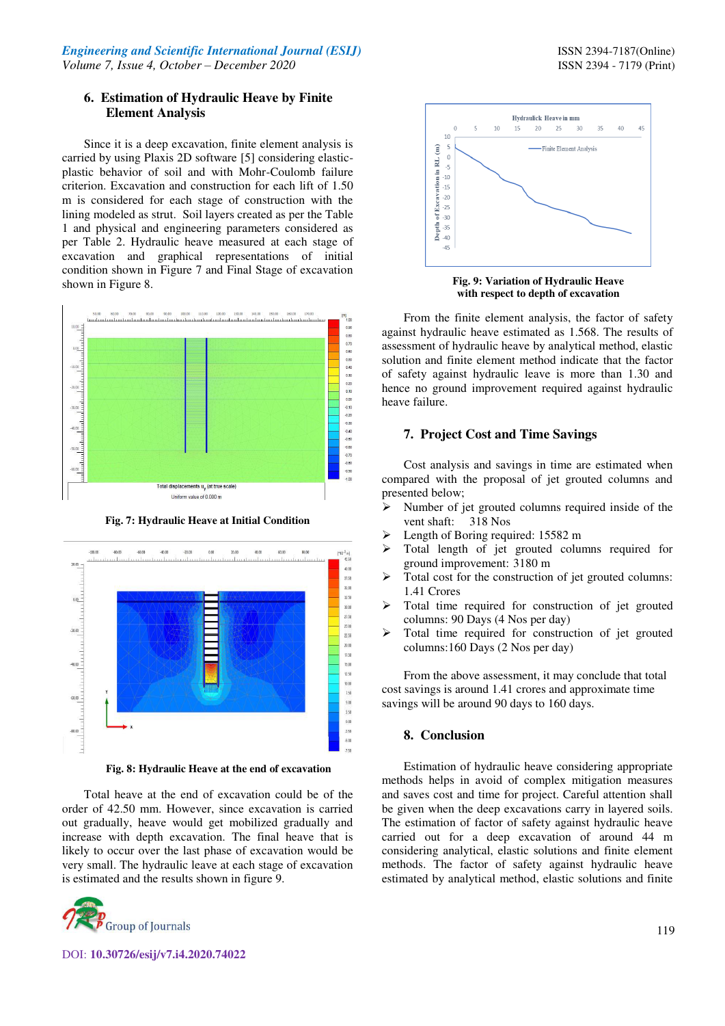Since it is a deep excavation, finite element analysis is carried by using Plaxis 2D software [5] considering elasticplastic behavior of soil and with Mohr-Coulomb failure criterion. Excavation and construction for each lift of 1.50 m is considered for each stage of construction with the lining modeled as strut. Soil layers created as per the Table 1 and physical and engineering parameters considered as per Table 2. Hydraulic heave measured at each stage of excavation and graphical representations of initial condition shown in Figure 7 and Final Stage of excavation shown in Figure 8.



**Fig. 7: Hydraulic Heave at Initial Condition**



**Fig. 8: Hydraulic Heave at the end of excavation** 

Total heave at the end of excavation could be of the order of 42.50 mm. However, since excavation is carried out gradually, heave would get mobilized gradually and increase with depth excavation. The final heave that is likely to occur over the last phase of excavation would be very small. The hydraulic leave at each stage of excavation is estimated and the results shown in figure 9.



DOI: **10.30726/esij/v7.i4.2020.74022**



**Fig. 9: Variation of Hydraulic Heave with respect to depth of excavation** 

From the finite element analysis, the factor of safety against hydraulic heave estimated as 1.568. The results of assessment of hydraulic heave by analytical method, elastic solution and finite element method indicate that the factor of safety against hydraulic leave is more than 1.30 and hence no ground improvement required against hydraulic heave failure.

# **7. Project Cost and Time Savings**

Cost analysis and savings in time are estimated when compared with the proposal of jet grouted columns and presented below;

- $\triangleright$  Number of jet grouted columns required inside of the vent shaft: 318 Nos
- $\blacktriangleright$  Length of Boring required: 15582 m
- > Total length of jet grouted columns required for ground improvement: 3180 m
- $\triangleright$  Total cost for the construction of jet grouted columns: 1.41 Crores
- > Total time required for construction of jet grouted columns: 90 Days (4 Nos per day)
- > Total time required for construction of jet grouted columns:160 Days (2 Nos per day)

From the above assessment, it may conclude that total cost savings is around 1.41 crores and approximate time savings will be around 90 days to 160 days.

# **8. Conclusion**

Estimation of hydraulic heave considering appropriate methods helps in avoid of complex mitigation measures and saves cost and time for project. Careful attention shall be given when the deep excavations carry in layered soils. The estimation of factor of safety against hydraulic heave carried out for a deep excavation of around 44 m considering analytical, elastic solutions and finite element methods. The factor of safety against hydraulic heave estimated by analytical method, elastic solutions and finite